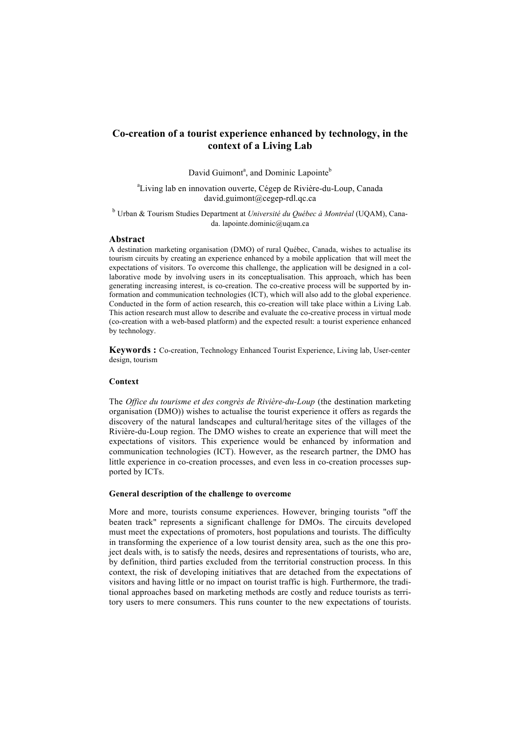# **Co-creation of a tourist experience enhanced by technology, in the context of a Living Lab**

David Guimont<sup>a</sup>, and Dominic Lapointe<sup>b</sup>

<sup>a</sup>Living lab en innovation ouverte, Cégep de Rivière-du-Loup, Canada david.guimont@cegep-rdl.qc.ca

<sup>b</sup> Urban & Tourism Studies Department at *Université du Québec à Montréal* (UQAM), Canada. lapointe.dominic@uqam.ca

## **Abstract**

A destination marketing organisation (DMO) of rural Québec, Canada, wishes to actualise its tourism circuits by creating an experience enhanced by a mobile application that will meet the expectations of visitors. To overcome this challenge, the application will be designed in a collaborative mode by involving users in its conceptualisation. This approach, which has been generating increasing interest, is co-creation. The co-creative process will be supported by information and communication technologies (ICT), which will also add to the global experience. Conducted in the form of action research, this co-creation will take place within a Living Lab. This action research must allow to describe and evaluate the co-creative process in virtual mode (co-creation with a web-based platform) and the expected result: a tourist experience enhanced by technology.

**Keywords :** Co-creation, Technology Enhanced Tourist Experience, Living lab, User-center design, tourism

## **Context**

The *Office du tourisme et des congrès de Rivière-du-Loup* (the destination marketing organisation (DMO)) wishes to actualise the tourist experience it offers as regards the discovery of the natural landscapes and cultural/heritage sites of the villages of the Rivière-du-Loup region. The DMO wishes to create an experience that will meet the expectations of visitors. This experience would be enhanced by information and communication technologies (ICT). However, as the research partner, the DMO has little experience in co-creation processes, and even less in co-creation processes supported by ICTs.

### **General description of the challenge to overcome**

More and more, tourists consume experiences. However, bringing tourists "off the beaten track" represents a significant challenge for DMOs. The circuits developed must meet the expectations of promoters, host populations and tourists. The difficulty in transforming the experience of a low tourist density area, such as the one this project deals with, is to satisfy the needs, desires and representations of tourists, who are, by definition, third parties excluded from the territorial construction process. In this context, the risk of developing initiatives that are detached from the expectations of visitors and having little or no impact on tourist traffic is high. Furthermore, the traditional approaches based on marketing methods are costly and reduce tourists as territory users to mere consumers. This runs counter to the new expectations of tourists.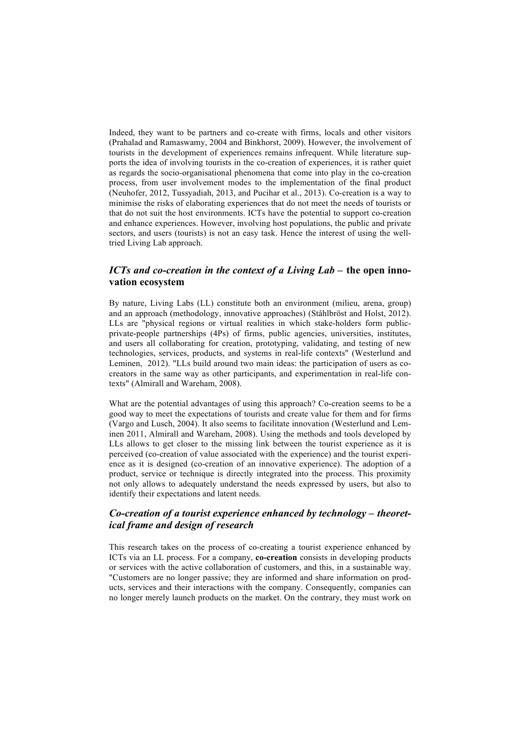Indeed, they want to be partners and co-create with firms, locals and other visitors (Prahalad and Ramaswamy, 2004 and Binkhorst, 2009). However, the involvement of tourists in the development of experiences remains infrequent. While literature supports the idea of involving tourists in the co-creation of experiences, it is rather quiet as regards the socio-organisational phenomena that come into play in the co-creation process, from user involvement modes to the implementation of the final product (Neuhofer, 2012, Tussyadiah, 2013, and Pucihar et al., 2013). Co-creation is a way to minimise the risks of elaborating experiences that do not meet the needs of tourists or that do not suit the host environments. ICTs have the potential to support co-creation and enhance experiences. However, involving host populations, the public and private sectors, and users (tourists) is not an easy task. Hence the interest of using the welltried Living Lab approach.

# *ICTs and co-creation in the context of a Living Lab* **– the open innovation ecosystem**

By nature, Living Labs (LL) constitute both an environment (milieu, arena, group) and an approach (methodology, innovative approaches) (Ståhlbröst and Holst, 2012). LLs are "physical regions or virtual realities in which stake-holders form publicprivate-people partnerships (4Ps) of firms, public agencies, universities, institutes, and users all collaborating for creation, prototyping, validating, and testing of new technologies, services, products, and systems in real-life contexts" (Westerlund and Leminen, 2012). "LLs build around two main ideas: the participation of users as cocreators in the same way as other participants, and experimentation in real-life contexts" (Almirall and Wareham, 2008).

What are the potential advantages of using this approach? Co-creation seems to be a good way to meet the expectations of tourists and create value for them and for firms (Vargo and Lusch, 2004). It also seems to facilitate innovation (Westerlund and Leminen 2011, Almirall and Wareham, 2008). Using the methods and tools developed by LLs allows to get closer to the missing link between the tourist experience as it is perceived (co-creation of value associated with the experience) and the tourist experience as it is designed (co-creation of an innovative experience). The adoption of a product, service or technique is directly integrated into the process. This proximity not only allows to adequately understand the needs expressed by users, but also to identify their expectations and latent needs.

# *Co-creation of a tourist experience enhanced by technology – theoretical frame and design of research*

This research takes on the process of co-creating a tourist experience enhanced by ICTs via an LL process. For a company, **co-creation** consists in developing products or services with the active collaboration of customers, and this, in a sustainable way. "Customers are no longer passive; they are informed and share information on products, services and their interactions with the company. Consequently, companies can no longer merely launch products on the market. On the contrary, they must work on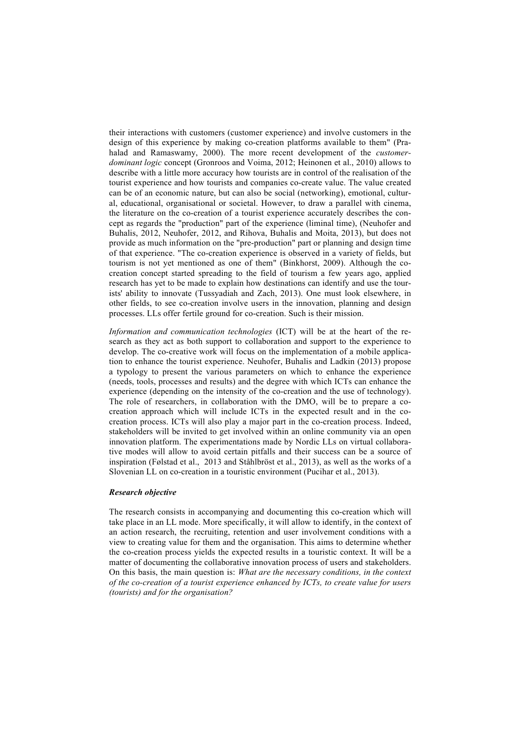their interactions with customers (customer experience) and involve customers in the design of this experience by making co-creation platforms available to them" (Prahalad and Ramaswamy, 2000). The more recent development of the *customerdominant logic* concept (Gronroos and Voima, 2012; Heinonen et al., 2010) allows to describe with a little more accuracy how tourists are in control of the realisation of the tourist experience and how tourists and companies co-create value. The value created can be of an economic nature, but can also be social (networking), emotional, cultural, educational, organisational or societal. However, to draw a parallel with cinema, the literature on the co-creation of a tourist experience accurately describes the concept as regards the "production" part of the experience (liminal time), (Neuhofer and Buhalis, 2012, Neuhofer, 2012, and Rihova, Buhalis and Moita, 2013), but does not provide as much information on the "pre-production" part or planning and design time of that experience. "The co-creation experience is observed in a variety of fields, but tourism is not yet mentioned as one of them" (Binkhorst, 2009). Although the cocreation concept started spreading to the field of tourism a few years ago, applied research has yet to be made to explain how destinations can identify and use the tourists' ability to innovate (Tussyadiah and Zach, 2013). One must look elsewhere, in other fields, to see co-creation involve users in the innovation, planning and design processes. LLs offer fertile ground for co-creation. Such is their mission.

*Information and communication technologies* (ICT) will be at the heart of the research as they act as both support to collaboration and support to the experience to develop. The co-creative work will focus on the implementation of a mobile application to enhance the tourist experience. Neuhofer, Buhalis and Ladkin (2013) propose a typology to present the various parameters on which to enhance the experience (needs, tools, processes and results) and the degree with which ICTs can enhance the experience (depending on the intensity of the co-creation and the use of technology). The role of researchers, in collaboration with the DMO, will be to prepare a cocreation approach which will include ICTs in the expected result and in the cocreation process. ICTs will also play a major part in the co-creation process. Indeed, stakeholders will be invited to get involved within an online community via an open innovation platform. The experimentations made by Nordic LLs on virtual collaborative modes will allow to avoid certain pitfalls and their success can be a source of inspiration (Følstad et al., 2013 and Ståhlbröst et al., 2013), as well as the works of a Slovenian LL on co-creation in a touristic environment (Pucihar et al., 2013).

### *Research objective*

The research consists in accompanying and documenting this co-creation which will take place in an LL mode. More specifically, it will allow to identify, in the context of an action research, the recruiting, retention and user involvement conditions with a view to creating value for them and the organisation. This aims to determine whether the co-creation process yields the expected results in a touristic context. It will be a matter of documenting the collaborative innovation process of users and stakeholders. On this basis, the main question is: *What are the necessary conditions, in the context of the co-creation of a tourist experience enhanced by ICTs, to create value for users (tourists) and for the organisation?*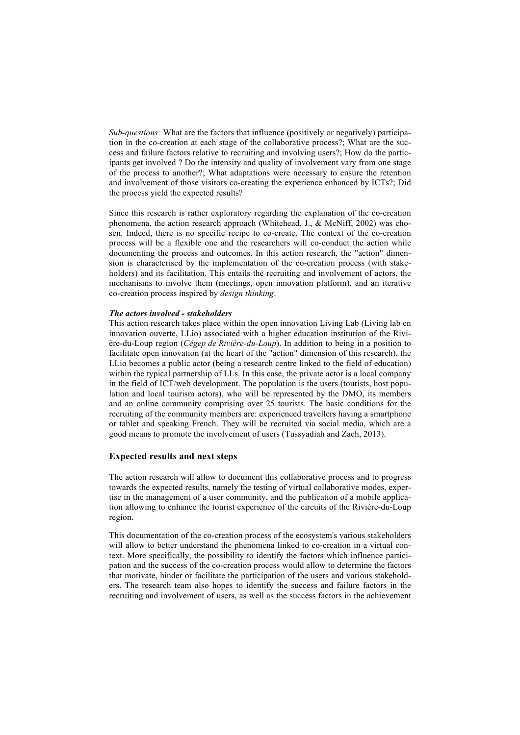*Sub-questions:* What are the factors that influence (positively or negatively) participation in the co-creation at each stage of the collaborative process?; What are the success and failure factors relative to recruiting and involving users?; How do the participants get involved ? Do the intensity and quality of involvement vary from one stage of the process to another?; What adaptations were necessary to ensure the retention and involvement of those visitors co-creating the experience enhanced by ICTs?; Did the process yield the expected results?

Since this research is rather exploratory regarding the explanation of the co-creation phenomena, the action research approach (Whitehead, J., & McNiff, 2002) was chosen. Indeed, there is no specific recipe to co-create. The context of the co-creation process will be a flexible one and the researchers will co-conduct the action while documenting the process and outcomes. In this action research, the "action" dimension is characterised by the implementation of the co-creation process (with stakeholders) and its facilitation. This entails the recruiting and involvement of actors, the mechanisms to involve them (meetings, open innovation platform), and an iterative co-creation process inspired by *design thinking*.

#### *The actors involved - stakeholders*

This action research takes place within the open innovation Living Lab (Living lab en innovation ouverte, LLio) associated with a higher education institution of the Rivière-du-Loup region (*Cégep de Rivière-du-Loup*). In addition to being in a position to facilitate open innovation (at the heart of the "action" dimension of this research), the LLio becomes a public actor (being a research centre linked to the field of education) within the typical partnership of LLs. In this case, the private actor is a local company in the field of ICT/web development. The population is the users (tourists, host population and local tourism actors), who will be represented by the DMO, its members and an online community comprising over 25 tourists. The basic conditions for the recruiting of the community members are: experienced travellers having a smartphone or tablet and speaking French. They will be recruited via social media, which are a good means to promote the involvement of users (Tussyadiah and Zach, 2013).

## **Expected results and next steps**

The action research will allow to document this collaborative process and to progress towards the expected results, namely the testing of virtual collaborative modes, expertise in the management of a user community, and the publication of a mobile application allowing to enhance the tourist experience of the circuits of the Rivière-du-Loup region.

This documentation of the co-creation process of the ecosystem's various stakeholders will allow to better understand the phenomena linked to co-creation in a virtual context. More specifically, the possibility to identify the factors which influence participation and the success of the co-creation process would allow to determine the factors that motivate, hinder or facilitate the participation of the users and various stakeholders. The research team also hopes to identify the success and failure factors in the recruiting and involvement of users, as well as the success factors in the achievement